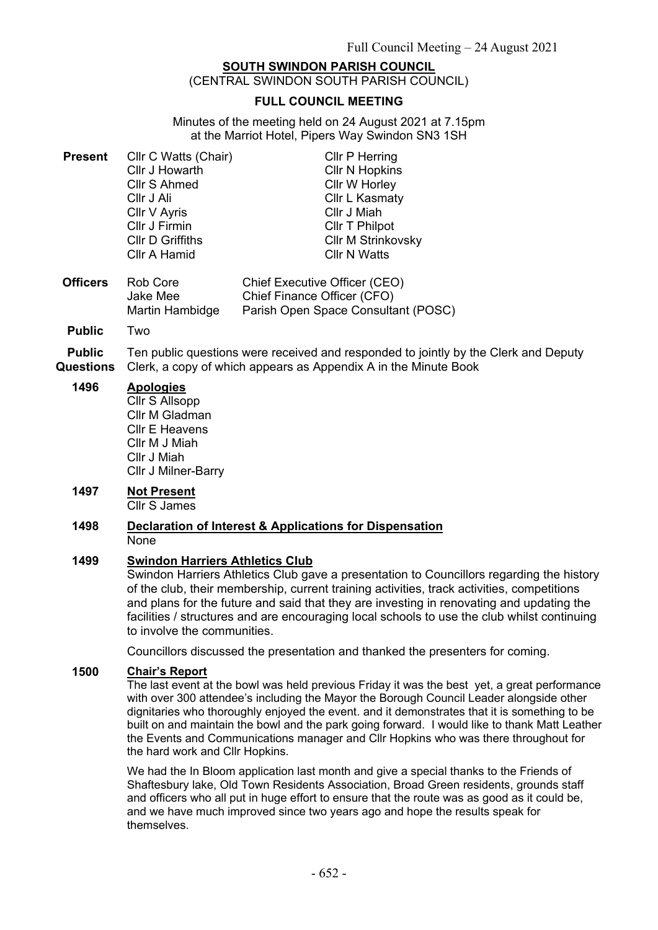# **SOUTH SWINDON PARISH COUNCIL**

(CENTRAL SWINDON SOUTH PARISH COUNCIL)

### **FULL COUNCIL MEETING**

Minutes of the meeting held on 24 August 2021 at 7.15pm at the Marriot Hotel, Pipers Way Swindon SN3 1SH

| <b>Present</b> Cllr C Watts (Chair) | <b>Cllr P Herring</b>     |
|-------------------------------------|---------------------------|
| Cllr J Howarth                      | <b>Cllr N Hopkins</b>     |
| Cllr S Ahmed                        | Cllr W Horley             |
| Cllr J Ali                          | Cllr L Kasmaty            |
| Cllr V Ayris                        | Cllr J Miah               |
| Cllr J Firmin                       | Cllr T Philpot            |
| <b>CIIr D Griffiths</b>             | <b>Cllr M Strinkovsky</b> |
| Cllr A Hamid                        | <b>CIIr N Watts</b>       |
|                                     |                           |

- **Officers** Rob Core Jake Mee Martin Hambidge Chief Executive Officer (CEO) Chief Finance Officer (CFO) Parish Open Space Consultant (POSC)
- **Public** Two

**Public Questions** Ten public questions were received and responded to jointly by the Clerk and Deputy Clerk, a copy of which appears as Appendix A in the Minute Book

### **1496 Apologies**

Cllr S Allsopp Cllr M Gladman Cllr E Heavens Cllr M J Miah Cllr J Miah Cllr J Milner-Barry

## **1497 Not Present**

Cllr S James

#### **1498 Declaration of Interest & Applications for Dispensation** None

### **1499 Swindon Harriers Athletics Club**

Swindon Harriers Athletics Club gave a presentation to Councillors regarding the history of the club, their membership, current training activities, track activities, competitions and plans for the future and said that they are investing in renovating and updating the facilities / structures and are encouraging local schools to use the club whilst continuing to involve the communities.

Councillors discussed the presentation and thanked the presenters for coming.

### **1500 Chair's Report**

The last event at the bowl was held previous Friday it was the best yet, a great performance with over 300 attendee's including the Mayor the Borough Council Leader alongside other dignitaries who thoroughly enjoyed the event. and it demonstrates that it is something to be built on and maintain the bowl and the park going forward. I would like to thank Matt Leather the Events and Communications manager and Cllr Hopkins who was there throughout for the hard work and Cllr Hopkins.

We had the In Bloom application last month and give a special thanks to the Friends of Shaftesbury lake, Old Town Residents Association, Broad Green residents, grounds staff and officers who all put in huge effort to ensure that the route was as good as it could be, and we have much improved since two years ago and hope the results speak for themselves.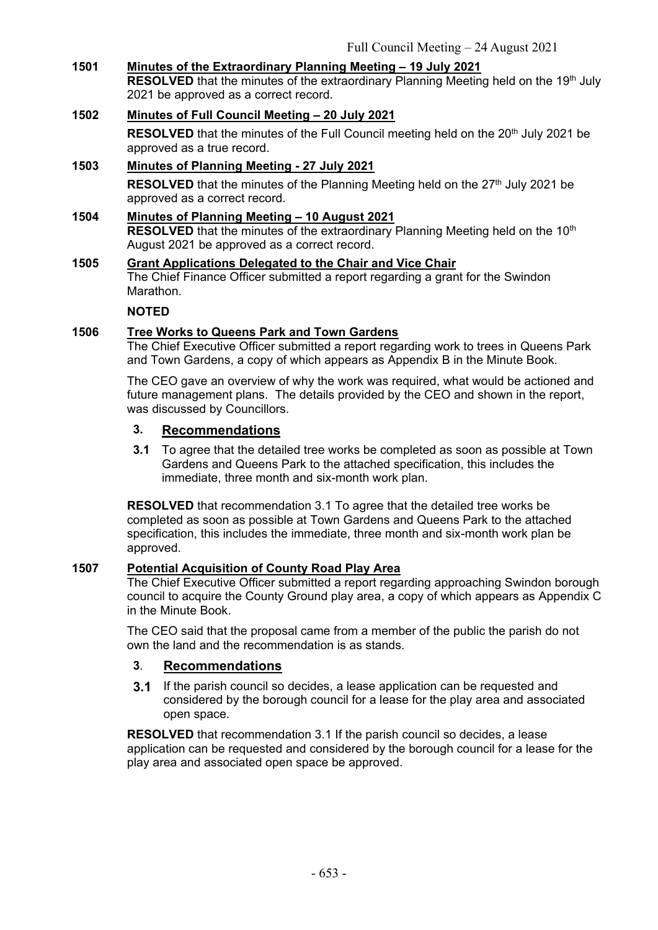# **1501 Minutes of the Extraordinary Planning Meeting – 19 July 2021**

**RESOLVED** that the minutes of the extraordinary Planning Meeting held on the 19<sup>th</sup> July 2021 be approved as a correct record.

## **1502 Minutes of Full Council Meeting – 20 July 2021**

RESOLVED that the minutes of the Full Council meeting held on the 20<sup>th</sup> July 2021 be approved as a true record.

# **1503 Minutes of Planning Meeting - 27 July 2021** RESOLVED that the minutes of the Planning Meeting held on the 27<sup>th</sup> July 2021 be approved as a correct record.

### **1504 Minutes of Planning Meeting – 10 August 2021 RESOLVED** that the minutes of the extraordinary Planning Meeting held on the 10<sup>th</sup> August 2021 be approved as a correct record.

# **1505 Grant Applications Delegated to the Chair and Vice Chair** The Chief Finance Officer submitted a report regarding a grant for the Swindon Marathon.

### **NOTED**

# **1506 Tree Works to Queens Park and Town Gardens**

The Chief Executive Officer submitted a report regarding work to trees in Queens Park and Town Gardens, a copy of which appears as Appendix B in the Minute Book.

The CEO gave an overview of why the work was required, what would be actioned and future management plans. The details provided by the CEO and shown in the report, was discussed by Councillors.

# **3. Recommendations**

**3.1** To agree that the detailed tree works be completed as soon as possible at Town Gardens and Queens Park to the attached specification, this includes the immediate, three month and six-month work plan.

**RESOLVED** that recommendation 3.1 To agree that the detailed tree works be completed as soon as possible at Town Gardens and Queens Park to the attached specification, this includes the immediate, three month and six-month work plan be approved.

### **1507 Potential Acquisition of County Road Play Area**

The Chief Executive Officer submitted a report regarding approaching Swindon borough council to acquire the County Ground play area, a copy of which appears as Appendix C in the Minute Book.

The CEO said that the proposal came from a member of the public the parish do not own the land and the recommendation is as stands.

# **3**. **Recommendations**

**3.1** If the parish council so decides, a lease application can be requested and considered by the borough council for a lease for the play area and associated open space.

**RESOLVED** that recommendation 3.1 If the parish council so decides, a lease application can be requested and considered by the borough council for a lease for the play area and associated open space be approved.